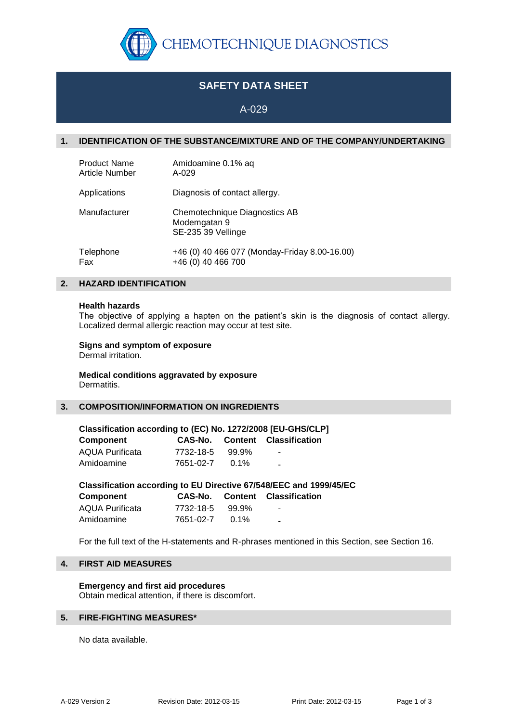

# **SAFETY DATA SHEET**

A-029

# **1. IDENTIFICATION OF THE SUBSTANCE/MIXTURE AND OF THE COMPANY/UNDERTAKING**

| <b>Product Name</b>   | Amidoamine 0.1% aq                                                  |
|-----------------------|---------------------------------------------------------------------|
| <b>Article Number</b> | A-029                                                               |
| Applications          | Diagnosis of contact allergy.                                       |
| Manufacturer          | Chemotechnique Diagnostics AB<br>Modemgatan 9<br>SE-235 39 Vellinge |
| Telephone             | +46 (0) 40 466 077 (Monday-Friday 8.00-16.00)                       |
| Fax                   | +46 (0) 40 466 700                                                  |

# **2. HAZARD IDENTIFICATION**

### **Health hazards**

The objective of applying a hapten on the patient's skin is the diagnosis of contact allergy. Localized dermal allergic reaction may occur at test site.

# **Signs and symptom of exposure**

Dermal irritation.

**Medical conditions aggravated by exposure** Dermatitis.

# **3. COMPOSITION/INFORMATION ON INGREDIENTS**

| Classification according to (EC) No. 1272/2008 [EU-GHS/CLP] |           |         |                                       |  |  |
|-------------------------------------------------------------|-----------|---------|---------------------------------------|--|--|
| <b>Component</b>                                            |           |         | <b>CAS-No.</b> Content Classification |  |  |
| <b>AQUA Purificata</b>                                      | 7732-18-5 | 99.9%   | $\sim$                                |  |  |
| Amidoamine                                                  | 7651-02-7 | $0.1\%$ | $\sim$                                |  |  |

| Classification according to EU Directive 67/548/EEC and 1999/45/EC |           |       |                                       |  |  |
|--------------------------------------------------------------------|-----------|-------|---------------------------------------|--|--|
| Component                                                          |           |       | <b>CAS-No.</b> Content Classification |  |  |
| AQUA Purificata                                                    | 7732-18-5 | 99.9% | $\overline{\phantom{a}}$              |  |  |
| Amidoamine                                                         | 7651-02-7 | በ 1%  | $\overline{\phantom{a}}$              |  |  |

For the full text of the H-statements and R-phrases mentioned in this Section, see Section 16.

# **4. FIRST AID MEASURES**

**Emergency and first aid procedures** Obtain medical attention, if there is discomfort.

# **5. FIRE-FIGHTING MEASURES\***

No data available.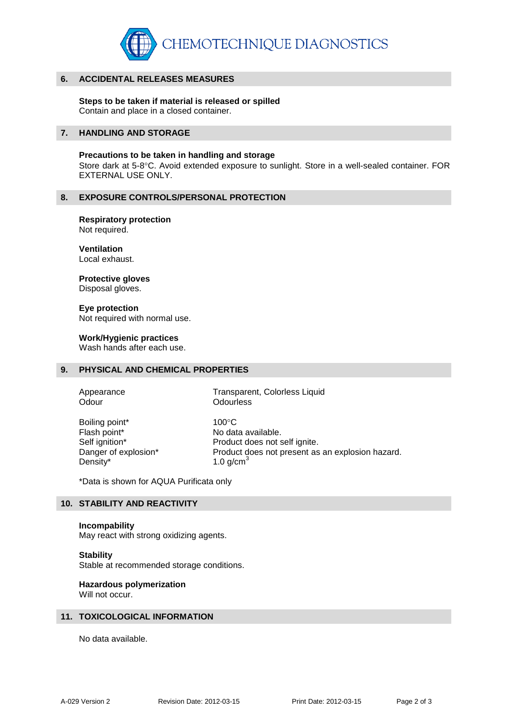

### **6. ACCIDENTAL RELEASES MEASURES**

**Steps to be taken if material is released or spilled** Contain and place in a closed container.

### **7. HANDLING AND STORAGE**

**Precautions to be taken in handling and storage** Store dark at 5-8°C. Avoid extended exposure to sunlight. Store in a well-sealed container. FOR EXTERNAL USE ONLY.

#### **8. EXPOSURE CONTROLS/PERSONAL PROTECTION**

**Respiratory protection** Not required.

**Ventilation** Local exhaust.

**Protective gloves**

Disposal gloves.

**Eye protection** Not required with normal use.

**Work/Hygienic practices**

Wash hands after each use.

# **9. PHYSICAL AND CHEMICAL PROPERTIES**

Odour **Odourless** 

Appearance Transparent, Colorless Liquid

Boiling point\* 100°C Density\*  $1.0 \text{ g/cm}^3$ 

Flash point\* No data available. Self ignition\* Product does not self ignite. Danger of explosion\* Product does not present as an explosion hazard.

\*Data is shown for AQUA Purificata only

### **10. STABILITY AND REACTIVITY**

#### **Incompability**

May react with strong oxidizing agents.

### **Stability**

Stable at recommended storage conditions.

# **Hazardous polymerization**

Will not occur.

### **11. TOXICOLOGICAL INFORMATION**

No data available.